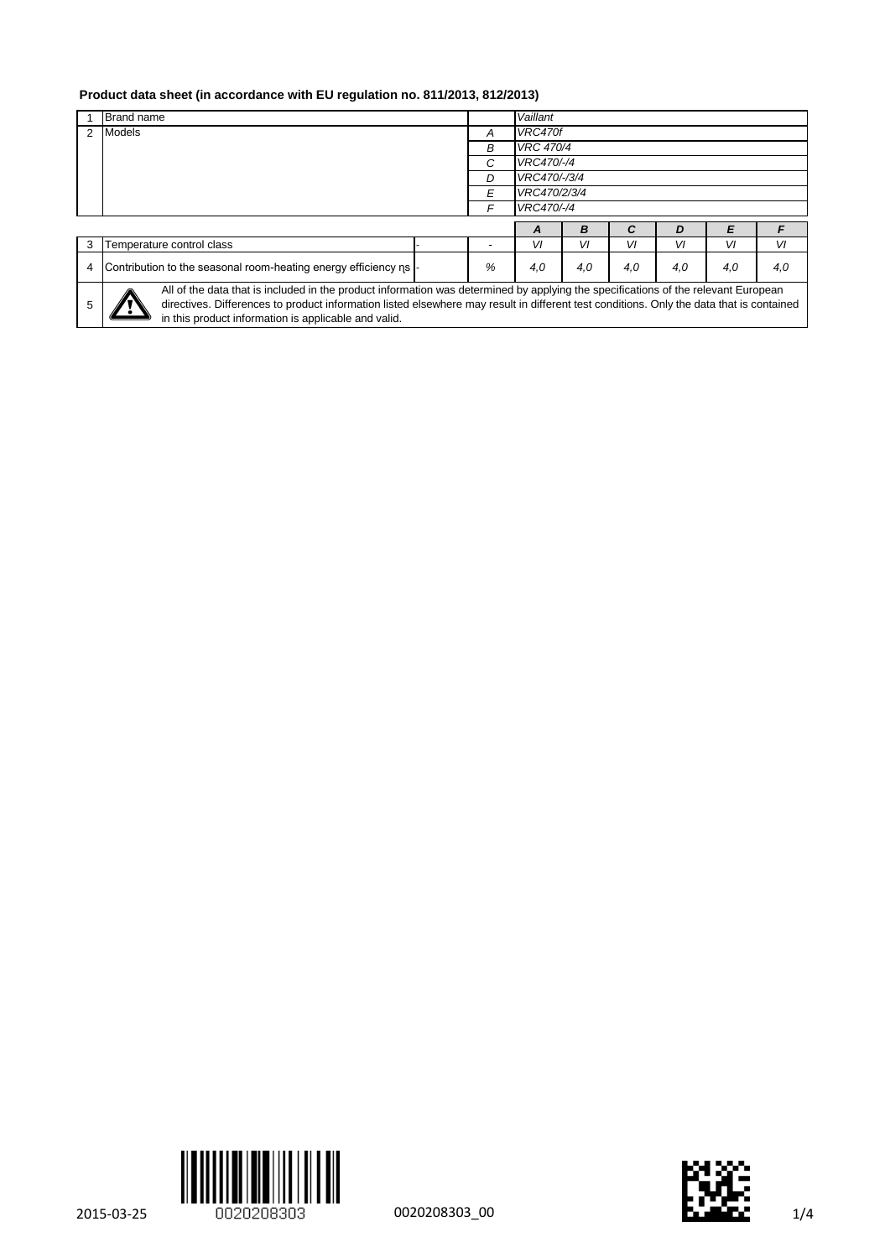## **Product data sheet (in accordance with EU regulation no. 811/2013, 812/2013)**

|   | <b>Brand name</b>                                              |  |   | Vaillant         |     |     |     |     |     |
|---|----------------------------------------------------------------|--|---|------------------|-----|-----|-----|-----|-----|
|   | <b>Models</b>                                                  |  | A | VRC470f          |     |     |     |     |     |
|   |                                                                |  | B | <b>VRC 470/4</b> |     |     |     |     |     |
|   |                                                                |  | C | VRC470/-/4       |     |     |     |     |     |
|   |                                                                |  |   | VRC470/-/3/4     |     |     |     |     |     |
|   |                                                                |  |   | VRC470/2/3/4     |     |     |     |     |     |
|   |                                                                |  |   | VRC470/-/4       |     |     |     |     |     |
|   |                                                                |  |   | A                | в   |     | D   |     |     |
| 3 | Temperature control class                                      |  |   | VI               | VI  | VI  | VI  | VI  | VI  |
|   |                                                                |  |   |                  |     |     |     |     |     |
| 4 | Contribution to the seasonal room-heating energy efficiency ns |  | % | 4,0              | 4.0 | 4,0 | 4.0 | 4,0 | 4.0 |





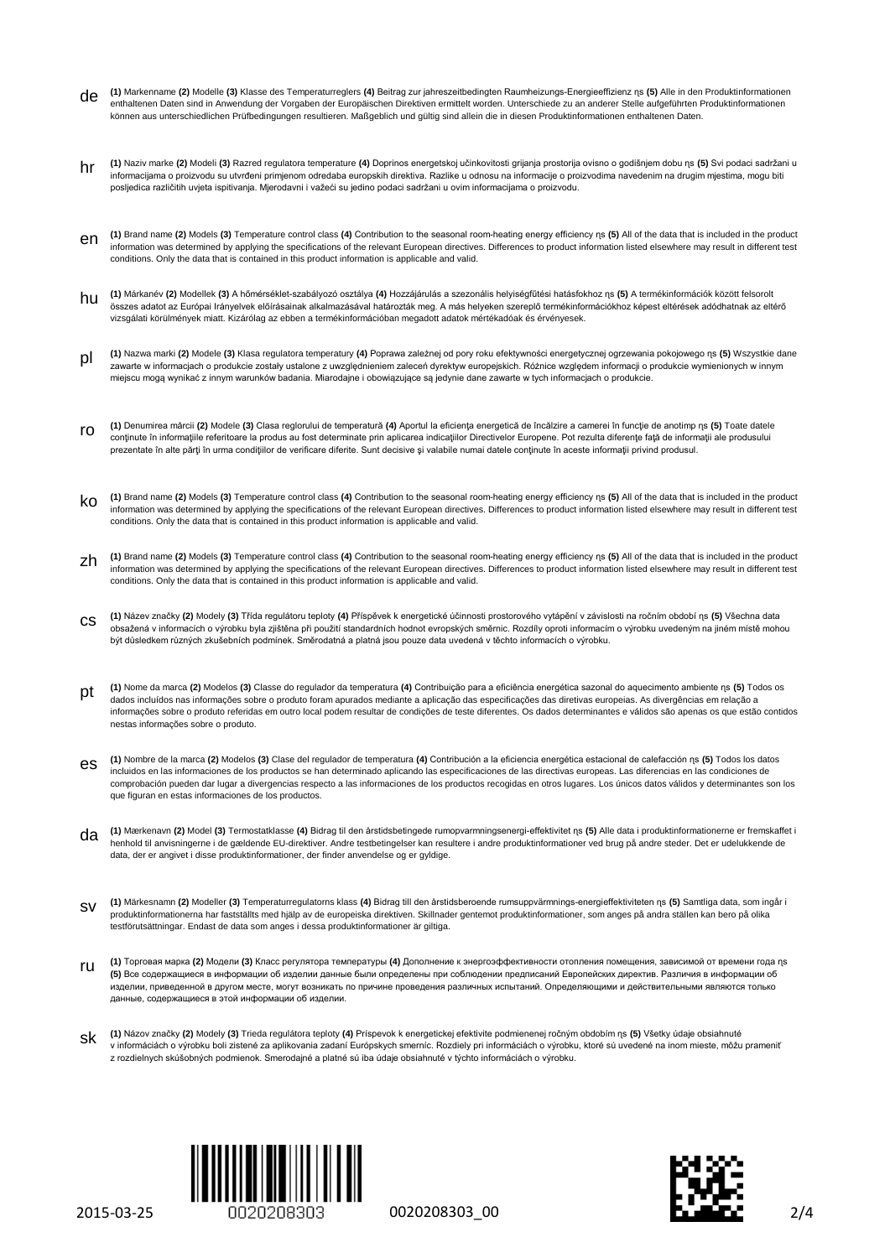- de **(1)** Markenname **(2)** Modelle **(3)** Klasse des Temperaturreglers **(4)** Beitrag zur jahreszeitbedingten Raumheizungs-Energieeffizienz ɳs **(5)** Alle in den Produktinformationen enthaltenen Daten sind in Anwendung der Vorgaben der Europäischen Direktiven ermittelt worden. Unterschiede zu an anderer Stelle aufgeführten Produktinformationen können aus unterschiedlichen Prüfbedingungen resultieren. Maßgeblich und gültig sind allein die in diesen Produktinformationen enthaltenen Daten.
- hr (1) Naziv marke (2) Modeli (3) Razred regulatora temperature (4) Doprinos energetskoj učinkovitosti grijanja prostorija ovisno o godišnjem dobu ns (5) Svi podaci sadržani u<br>informacijama o proizvodu su utvrđeni primjeno posljedica različitih uvjeta ispitivanja. Mjerodavni i važeći su jedino podaci sadržani u ovim informacijama o proizvodu.
- en **(1)** Brand name **(2)** Models **(3)** Temperature control class **(4)** Contribution to the seasonal room-heating energy efficiency ɳs **(5)** All of the data that is included in the product information was determined by applying the specifications of the relevant European directives. Differences to product information listed elsewhere may result in different test conditions. Only the data that is contained in this product information is applicable and valid.
- hu **(1)** Márkanév **(2)** Modellek **(3)** A hőmérséklet-szabályozó osztálya **(4)** Hozzájárulás a szezonális helyiségfűtési hatásfokhoz ɳs **(5)** A termékinformációk között felsorolt összes adatot az Európai Irányelvek előírásainak alkalmazásával határozták meg. A más helyeken szereplő termékinformációkhoz képest eltérések adódhatnak az eltérő vizsgálati körülmények miatt. Kizárólag az ebben a termékinformációban megadott adatok mértékadóak és érvényesek.
- pl **(1)** Nazwa marki **(2)** Modele **(3)** Klasa regulatora temperatury **(4)** Poprawa zależnej od pory roku efektywności energetycznej ogrzewania pokojowego ɳs **(5)** Wszystkie dane zawarte w informacjach o produkcie zostały ustalone z uwzględnieniem zaleceń dyrektyw europejskich. Różnice względem informacji o produkcie wymienionych w innym miejscu mogą wynikać z innym warunków badania. Miarodajne i obowiązujące są jedynie dane zawarte w tych informacjach o produkcie.
- ro **(1)** Denumirea mărcii **(2)** Modele **(3)** Clasa reglorului de temperatură **(4)** Aportul la eficienţa energetică de încălzire a camerei în funcţie de anotimp ɳs **(5)** Toate datele conţinute în informaţiile referitoare la produs au fost determinate prin aplicarea indicaţiilor Directivelor Europene. Pot rezulta diferenţe faţă de informaţii ale produsului prezentate în alte părţi în urma condiţiilor de verificare diferite. Sunt decisive şi valabile numai datele conţinute în aceste informaţii privind produsul.
- ko **(1)** Brand name **(2)** Models **(3)** Temperature control class **(4)** Contribution to the seasonal room-heating energy efficiency ɳs **(5)** All of the data that is included in the product information was determined by applying the specifications of the relevant European directives. Differences to product information listed elsewhere may result in different test conditions. Only the data that is contained in this product information is applicable and valid.
- zh **(1)** Brand name **(2)** Models **(3)** Temperature control class **(4)** Contribution to the seasonal room-heating energy efficiency ɳs **(5)** All of the data that is included in the product information was determined by applying the specifications of the relevant European directives. Differences to product information listed elsewhere may result in different test conditions. Only the data that is contained in this product information is applicable and valid.
- cs **(1)** Název značky **(2)** Modely **(3)** Třída regulátoru teploty **(4)** Příspěvek k energetické účinnosti prostorového vytápění v závislosti na ročním období ɳs **(5)** Všechna data obsažená v informacích o výrobku byla zjištěna při použití standardních hodnot evropských směrnic. Rozdíly oproti informacím o výrobku uvedeným na jiném místě mohou být důsledkem různých zkušebních podmínek. Směrodatná a platná jsou pouze data uvedená v těchto informacích o výrobku.
- pt **(1)** Nome da marca **(2)** Modelos **(3)** Classe do regulador da temperatura **(4)** Contribuição para a eficiência energética sazonal do aquecimento ambiente ɳs **(5)** Todos os dados incluídos nas informações sobre o produto foram apurados mediante a aplicação das especificações das diretivas europeias. As divergências em relação a informações sobre o produto referidas em outro local podem resultar de condições de teste diferentes. Os dados determinantes e válidos são apenas os que estão contidos nestas informações sobre o produto.
- (1) Nombre de la marca (2) Modelos (3) Clase del regulador de temperatura (4) Contribución a la eficiencia energética estacional de calefacción ns (5) Todos los datos<br>incluidos en las informaciones de los productos se han comprobación pueden dar lugar a divergencias respecto a las informaciones de los productos recogidas en otros lugares. Los únicos datos válidos y determinantes son los que figuran en estas informaciones de los productos.
- da (1) Mærkenavn (2) Model (3) Termostatklasse (4) Bidrag til den årstidsbetingede rumopvarmningsenergi-effektivitet ns (5) Alle data i produktinformationerne er fremskaffet i<br>henhold til anvisningerne i de gældende EU-dir data, der er angivet i disse produktinformationer, der finder anvendelse og er gyldige.
- 1) Märkesnamn (2) Modeller (3) Temperaturregulatorns klass (4) Bidrag till den årstidsberoende rumsuppvärmnings-energieffektiviteten ns (5) Samtliga data, som ingår i<br>produktinformationerna har fastställts med hjälp av de testförutsättningar. Endast de data som anges i dessa produktinformationer är giltiga.
- ru **(1)** Торговая марка **(2)** Модели **(3)** Класс регулятора температуры **(4)** Дополнение к энергоэффективности отопления помещения, зависимой от времени года ɳs **(5)** Все содержащиеся в информации об изделии данные были определены при соблюдении предписаний Европейских директив. Различия в информации об изделии, приведенной в другом месте, могут возникать по причине проведения различных испытаний. Определяющими и действительными являются только данные, содержащиеся в этой информации об изделии.
- sk **(1)** Názov značky **(2)** Modely **(3)** Trieda regulátora teploty **(4)** Príspevok k energetickej efektivite podmienenej ročným obdobím ɳs **(5)** Všetky údaje obsiahnuté v informáciách o výrobku boli zistené za aplikovania zadaní Európskych smerníc. Rozdiely pri informáciách o výrobku, ktoré sú uvedené na inom mieste, môžu prameniť z rozdielnych skúšobných podmienok. Smerodajné a platné sú iba údaje obsiahnuté v týchto informáciách o výrobku.



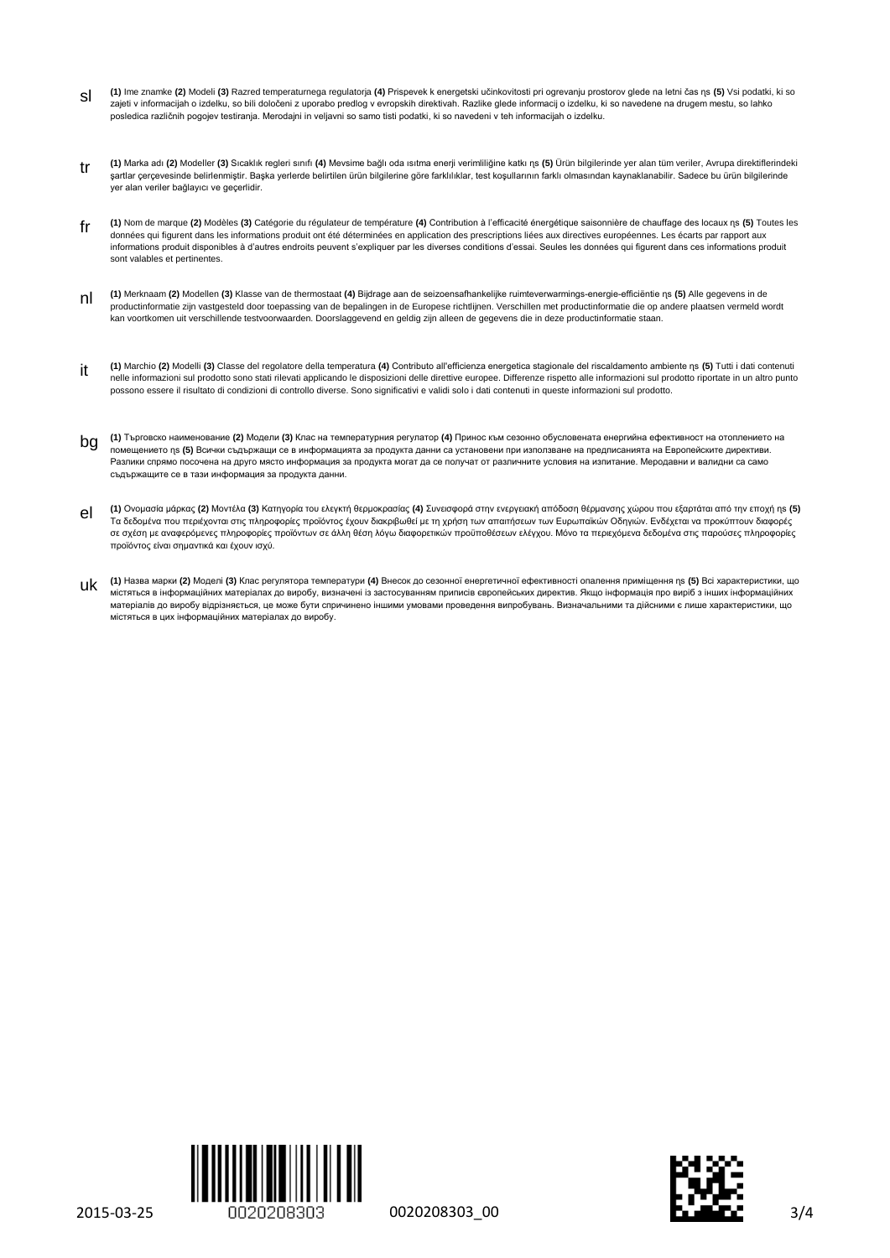- sl **(1)** Ime znamke **(2)** Modeli **(3)** Razred temperaturnega regulatorja **(4)** Prispevek k energetski učinkovitosti pri ogrevanju prostorov glede na letni čas ɳs **(5)** Vsi podatki, ki so zajeti v informacijah o izdelku, so bili določeni z uporabo predlog v evropskih direktivah. Razlike glede informacij o izdelku, ki so navedene na drugem mestu, so lahko posledica različnih pogojev testiranja. Merodajni in veljavni so samo tisti podatki, ki so navedeni v teh informacijah o izdelku.
- tr **(1)** Marka adı **(2)** Modeller **(3)** Sıcaklık regleri sınıfı **(4)** Mevsime bağlı oda ısıtma enerji verimliliğine katkı ɳs **(5)** Ürün bilgilerinde yer alan tüm veriler, Avrupa direktiflerindeki şartlar çerçevesinde belirlenmiştir. Başka yerlerde belirtilen ürün bilgilerine göre farklılıklar, test koşullarının farklı olmasından kaynaklanabilir. Sadece bu ürün bilgilerinde yer alan veriler bağlayıcı ve geçerlidir.
- fr **(1)** Nom de marque **(2)** Modèles **(3)** Catégorie du régulateur de température **(4)** Contribution à l'efficacité énergétique saisonnière de chauffage des locaux ɳs **(5)** Toutes les données qui figurent dans les informations produit ont été déterminées en application des prescriptions liées aux directives européennes. Les écarts par rapport aux informations produit disponibles à d'autres endroits peuvent s'expliquer par les diverses conditions d'essai. Seules les données qui figurent dans ces informations produit sont valables et pertinentes.
- nl **(1)** Merknaam **(2)** Modellen **(3)** Klasse van de thermostaat **(4)** Bijdrage aan de seizoensafhankelijke ruimteverwarmings-energie-efficiëntie ɳs **(5)** Alle gegevens in de productinformatie zijn vastgesteld door toepassing van de bepalingen in de Europese richtlijnen. Verschillen met productinformatie die op andere plaatsen vermeld wordt kan voortkomen uit verschillende testvoorwaarden. Doorslaggevend en geldig zijn alleen de gegevens die in deze productinformatie staan.
- 11 (1) Marchio (2) Modelli (3) Classe del regolatore della temperatura (4) Contributo all'efficienza energetica stagionale del riscaldamento ambiente ns (5) Tutti i dati contenuti<br>nelle informazioni sul prodotto sono stati possono essere il risultato di condizioni di controllo diverse. Sono significativi e validi solo i dati contenuti in queste informazioni sul prodotto.
- bg **(1)** Търговско наименование **(2)** Модели **(3)** Клас на температурния регулатор **(4)** Принос към сезонно обусловената енергийна ефективност на отоплението на помещението ns (5) Всички съдържащи се в информацията за продукта данни са установени при използване на предписанията на Европейските директиви. Разлики спрямо посочена на друго място информация за продукта могат да се получат от различните условия на изпитание. Меродавни и валидни са само съдържащите се в тази информация за продукта данни.
- οιςτήθητα της προφασία μάρκας (2) Μοντέλα (3) Κατηγορία του ελεγκτή θερμοκρασίας (4) Συνεισφορά στην ενεγερική απόδοση θέρμανσης χώρου που εξαρτάται από την εποχή ηs (5)<br>Τα δεδομένα που περιέχονται στις πληροφορίες προϊόν σε σχέση με αναφερόμενες πληροφορίες προϊόντων σε άλλη θέση λόγω διαφορετικών προϋποθέσεων ελέγχου. Μόνο τα περιεχόμενα δεδομένα στις παρούσες πληροφορίες προϊόντος είναι σημαντικά και έχουν ισχύ.
- uk **(1)** Назва марки **(2)** Моделі **(3)** Клас регулятора температури **(4)** Внесок до сезонної енергетичної ефективності опалення приміщення ɳs **(5)** Всі характеристики, що містяться в інформаційних матеріалах до виробу, визначені із застосуванням приписів європейських директив. Якщо інформація про виріб з інших інформаційних матеріалів до виробу відрізняється, це може бути спричинено іншими умовами проведення випробувань. Визначальними та дійсними є лише характеристики, що містяться в цих інформаційних матеріалах до виробу.